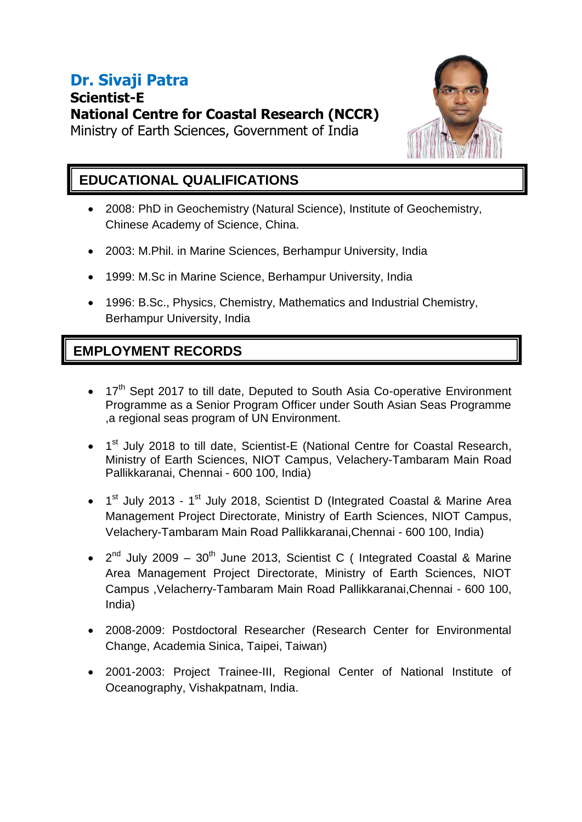# **Dr. Sivaji Patra Scientist-E National Centre for Coastal Research (NCCR)**





### **EDUCATIONAL QUALIFICATIONS**

- 2008: PhD in Geochemistry (Natural Science), Institute of Geochemistry, Chinese Academy of Science, China.
- 2003: M.Phil. in Marine Sciences, Berhampur University, India
- 1999: M.Sc in Marine Science, Berhampur University, India
- 1996: B.Sc., Physics, Chemistry, Mathematics and Industrial Chemistry, Berhampur University, India

## **EMPLOYMENT RECORDS**

- 17<sup>th</sup> Sept 2017 to till date, Deputed to South Asia Co-operative Environment Programme as a Senior Program Officer under South Asian Seas Programme ,a regional seas program of UN Environment.
- 1<sup>st</sup> July 2018 to till date, Scientist-E (National Centre for Coastal Research, Ministry of Earth Sciences, NIOT Campus, Velachery-Tambaram Main Road Pallikkaranai, Chennai - 600 100, India)
- 1<sup>st</sup> July 2013 1<sup>st</sup> July 2018, Scientist D (Integrated Coastal & Marine Area Management Project Directorate, Ministry of Earth Sciences, NIOT Campus, Velachery-Tambaram Main Road Pallikkaranai,Chennai - 600 100, India)
- $2^{nd}$  July 2009 30<sup>th</sup> June 2013, Scientist C ( Integrated Coastal & Marine Area Management Project Directorate, Ministry of Earth Sciences, NIOT Campus ,Velacherry-Tambaram Main Road Pallikkaranai,Chennai - 600 100, India)
- 2008-2009: Postdoctoral Researcher (Research Center for Environmental Change, Academia Sinica, Taipei, Taiwan)
- 2001-2003: Project Trainee-III, Regional Center of National Institute of Oceanography, Vishakpatnam, India.